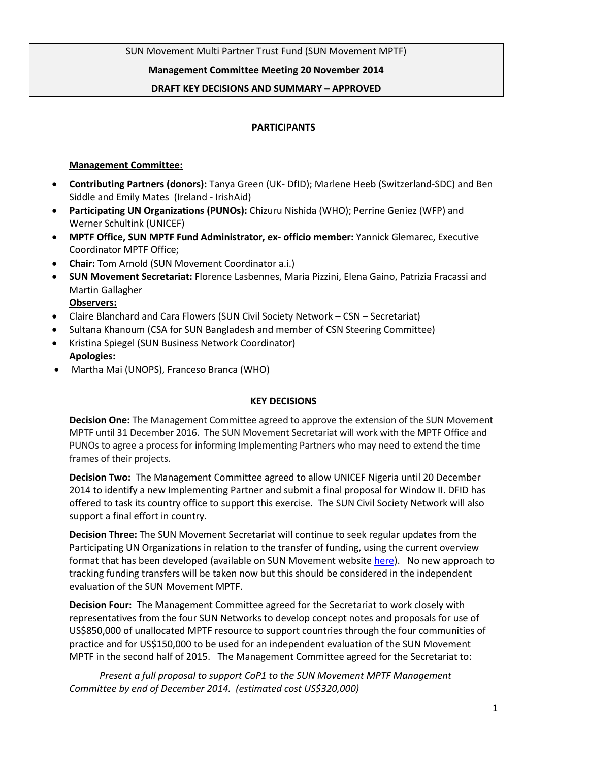SUN Movement Multi Partner Trust Fund (SUN Movement MPTF)

#### **Management Committee Meeting 20 November 2014**

#### **DRAFT KEY DECISIONS AND SUMMARY – APPROVED**

#### **PARTICIPANTS**

#### **Management Committee:**

- **Contributing Partners (donors):** Tanya Green (UK- DfID); Marlene Heeb (Switzerland-SDC) and Ben Siddle and Emily Mates (Ireland - IrishAid)
- **Participating UN Organizations (PUNOs):** Chizuru Nishida (WHO); Perrine Geniez (WFP) and Werner Schultink (UNICEF)
- **MPTF Office, SUN MPTF Fund Administrator, ex- officio member:** Yannick Glemarec, Executive Coordinator MPTF Office;
- **Chair:** Tom Arnold (SUN Movement Coordinator a.i.)
- **SUN Movement Secretariat:** Florence Lasbennes, Maria Pizzini, Elena Gaino, Patrizia Fracassi and Martin Gallagher

**Observers:** 

- Claire Blanchard and Cara Flowers (SUN Civil Society Network CSN Secretariat)
- Sultana Khanoum (CSA for SUN Bangladesh and member of CSN Steering Committee)
- Kristina Spiegel (SUN Business Network Coordinator) **Apologies:**
- Martha Mai (UNOPS), Franceso Branca (WHO)

#### **KEY DECISIONS**

**Decision One:** The Management Committee agreed to approve the extension of the SUN Movement MPTF until 31 December 2016. The SUN Movement Secretariat will work with the MPTF Office and PUNOs to agree a process for informing Implementing Partners who may need to extend the time frames of their projects.

**Decision Two:** The Management Committee agreed to allow UNICEF Nigeria until 20 December 2014 to identify a new Implementing Partner and submit a final proposal for Window II. DFID has offered to task its country office to support this exercise. The SUN Civil Society Network will also support a final effort in country.

**Decision Three:** The SUN Movement Secretariat will continue to seek regular updates from the Participating UN Organizations in relation to the transfer of funding, using the current overview format that has been developed (available on SUN Movement website [here\)](http://scalingupnutrition.org/resources-archive/sun-mptf). No new approach to tracking funding transfers will be taken now but this should be considered in the independent evaluation of the SUN Movement MPTF.

**Decision Four:** The Management Committee agreed for the Secretariat to work closely with representatives from the four SUN Networks to develop concept notes and proposals for use of US\$850,000 of unallocated MPTF resource to support countries through the four communities of practice and for US\$150,000 to be used for an independent evaluation of the SUN Movement MPTF in the second half of 2015. The Management Committee agreed for the Secretariat to:

*Present a full proposal to support CoP1 to the SUN Movement MPTF Management Committee by end of December 2014. (estimated cost US\$320,000)*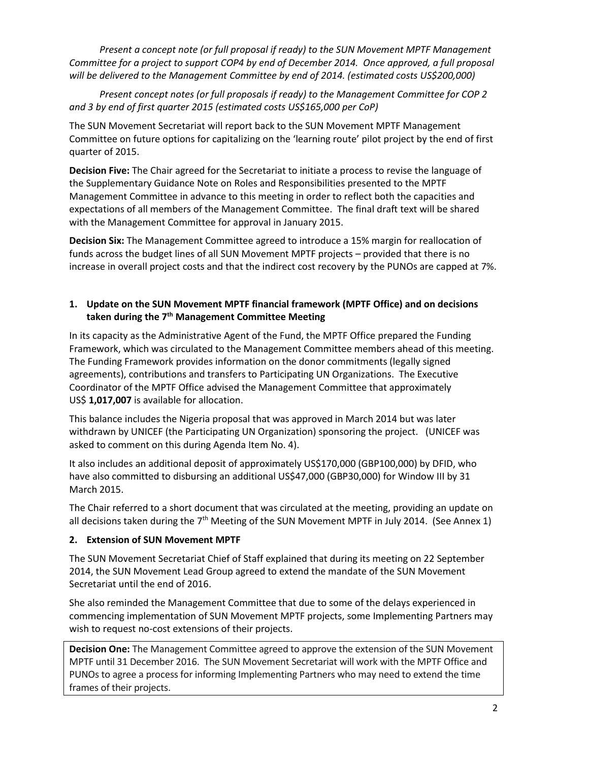*Present a concept note (or full proposal if ready) to the SUN Movement MPTF Management Committee for a project to support COP4 by end of December 2014. Once approved, a full proposal will be delivered to the Management Committee by end of 2014. (estimated costs US\$200,000)*

*Present concept notes (or full proposals if ready) to the Management Committee for COP 2 and 3 by end of first quarter 2015 (estimated costs US\$165,000 per CoP)*

The SUN Movement Secretariat will report back to the SUN Movement MPTF Management Committee on future options for capitalizing on the 'learning route' pilot project by the end of first quarter of 2015.

**Decision Five:** The Chair agreed for the Secretariat to initiate a process to revise the language of the Supplementary Guidance Note on Roles and Responsibilities presented to the MPTF Management Committee in advance to this meeting in order to reflect both the capacities and expectations of all members of the Management Committee. The final draft text will be shared with the Management Committee for approval in January 2015.

**Decision Six:** The Management Committee agreed to introduce a 15% margin for reallocation of funds across the budget lines of all SUN Movement MPTF projects – provided that there is no increase in overall project costs and that the indirect cost recovery by the PUNOs are capped at 7%.

# **1. Update on the SUN Movement MPTF financial framework (MPTF Office) and on decisions taken during the 7th Management Committee Meeting**

In its capacity as the Administrative Agent of the Fund, the MPTF Office prepared the Funding Framework, which was circulated to the Management Committee members ahead of this meeting. The Funding Framework provides information on the donor commitments (legally signed agreements), contributions and transfers to Participating UN Organizations. The Executive Coordinator of the MPTF Office advised the Management Committee that approximately US\$ **1,017,007** is available for allocation.

This balance includes the Nigeria proposal that was approved in March 2014 but was later withdrawn by UNICEF (the Participating UN Organization) sponsoring the project. (UNICEF was asked to comment on this during Agenda Item No. 4).

It also includes an additional deposit of approximately US\$170,000 (GBP100,000) by DFID, who have also committed to disbursing an additional US\$47,000 (GBP30,000) for Window III by 31 March 2015.

The Chair referred to a short document that was circulated at the meeting, providing an update on all decisions taken during the  $7<sup>th</sup>$  Meeting of the SUN Movement MPTF in July 2014. (See Annex 1)

# **2. Extension of SUN Movement MPTF**

The SUN Movement Secretariat Chief of Staff explained that during its meeting on 22 September 2014, the SUN Movement Lead Group agreed to extend the mandate of the SUN Movement Secretariat until the end of 2016.

She also reminded the Management Committee that due to some of the delays experienced in commencing implementation of SUN Movement MPTF projects, some Implementing Partners may wish to request no-cost extensions of their projects.

**Decision One:** The Management Committee agreed to approve the extension of the SUN Movement MPTF until 31 December 2016. The SUN Movement Secretariat will work with the MPTF Office and PUNOs to agree a process for informing Implementing Partners who may need to extend the time frames of their projects.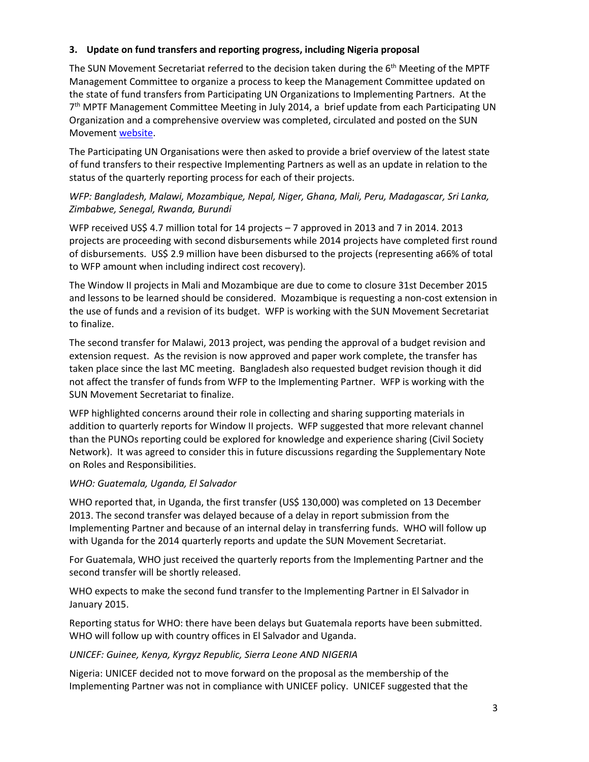#### **3. Update on fund transfers and reporting progress, including Nigeria proposal**

The SUN Movement Secretariat referred to the decision taken during the 6<sup>th</sup> Meeting of the MPTF Management Committee to organize a process to keep the Management Committee updated on the state of fund transfers from Participating UN Organizations to Implementing Partners. At the 7<sup>th</sup> MPTF Management Committee Meeting in July 2014, a brief update from each Participating UN Organization and a comprehensive overview was completed, circulated and posted on the SUN Movement [website.](http://scalingupnutrition.org/resources-archive/sun-mptf)

The Participating UN Organisations were then asked to provide a brief overview of the latest state of fund transfers to their respective Implementing Partners as well as an update in relation to the status of the quarterly reporting process for each of their projects.

### *WFP: Bangladesh, Malawi, Mozambique, Nepal, Niger, Ghana, Mali, Peru, Madagascar, Sri Lanka, Zimbabwe, Senegal, Rwanda, Burundi*

WFP received US\$ 4.7 million total for 14 projects – 7 approved in 2013 and 7 in 2014. 2013 projects are proceeding with second disbursements while 2014 projects have completed first round of disbursements. US\$ 2.9 million have been disbursed to the projects (representing a66% of total to WFP amount when including indirect cost recovery).

The Window II projects in Mali and Mozambique are due to come to closure 31st December 2015 and lessons to be learned should be considered. Mozambique is requesting a non-cost extension in the use of funds and a revision of its budget. WFP is working with the SUN Movement Secretariat to finalize.

The second transfer for Malawi, 2013 project, was pending the approval of a budget revision and extension request. As the revision is now approved and paper work complete, the transfer has taken place since the last MC meeting. Bangladesh also requested budget revision though it did not affect the transfer of funds from WFP to the Implementing Partner. WFP is working with the SUN Movement Secretariat to finalize.

WFP highlighted concerns around their role in collecting and sharing supporting materials in addition to quarterly reports for Window II projects. WFP suggested that more relevant channel than the PUNOs reporting could be explored for knowledge and experience sharing (Civil Society Network). It was agreed to consider this in future discussions regarding the Supplementary Note on Roles and Responsibilities.

#### *WHO: Guatemala, Uganda, El Salvador*

WHO reported that, in Uganda, the first transfer (US\$ 130,000) was completed on 13 December 2013. The second transfer was delayed because of a delay in report submission from the Implementing Partner and because of an internal delay in transferring funds. WHO will follow up with Uganda for the 2014 quarterly reports and update the SUN Movement Secretariat.

For Guatemala, WHO just received the quarterly reports from the Implementing Partner and the second transfer will be shortly released.

WHO expects to make the second fund transfer to the Implementing Partner in El Salvador in January 2015.

Reporting status for WHO: there have been delays but Guatemala reports have been submitted. WHO will follow up with country offices in El Salvador and Uganda.

# *UNICEF: Guinee, Kenya, Kyrgyz Republic, Sierra Leone AND NIGERIA*

Nigeria: UNICEF decided not to move forward on the proposal as the membership of the Implementing Partner was not in compliance with UNICEF policy. UNICEF suggested that the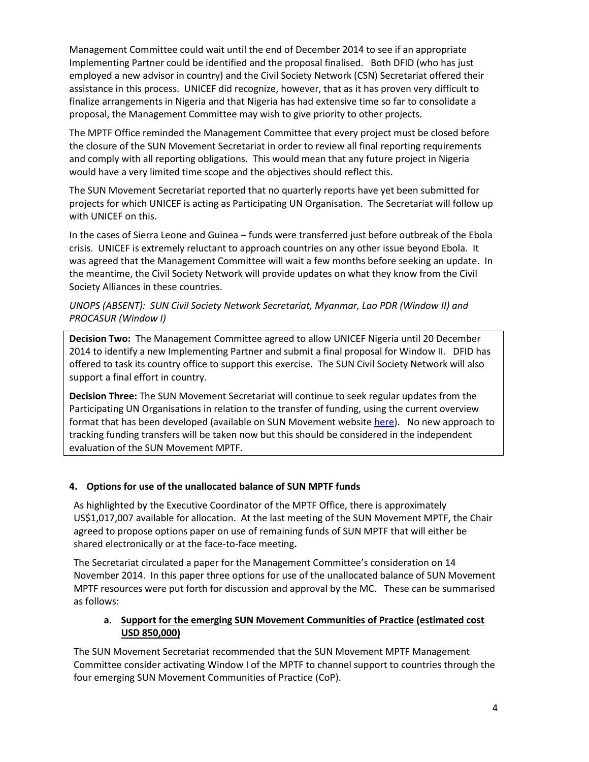Management Committee could wait until the end of December 2014 to see if an appropriate Implementing Partner could be identified and the proposal finalised. Both DFID (who has just employed a new advisor in country) and the Civil Society Network (CSN) Secretariat offered their assistance in this process. UNICEF did recognize, however, that as it has proven very difficult to finalize arrangements in Nigeria and that Nigeria has had extensive time so far to consolidate a proposal, the Management Committee may wish to give priority to other projects.

The MPTF Office reminded the Management Committee that every project must be closed before the closure of the SUN Movement Secretariat in order to review all final reporting requirements and comply with all reporting obligations. This would mean that any future project in Nigeria would have a very limited time scope and the objectives should reflect this.

The SUN Movement Secretariat reported that no quarterly reports have yet been submitted for projects for which UNICEF is acting as Participating UN Organisation. The Secretariat will follow up with UNICEF on this.

In the cases of Sierra Leone and Guinea – funds were transferred just before outbreak of the Ebola crisis. UNICEF is extremely reluctant to approach countries on any other issue beyond Ebola. It was agreed that the Management Committee will wait a few months before seeking an update. In the meantime, the Civil Society Network will provide updates on what they know from the Civil Society Alliances in these countries.

### *UNOPS (ABSENT): SUN Civil Society Network Secretariat, Myanmar, Lao PDR (Window II) and PROCASUR (Window I)*

**Decision Two:** The Management Committee agreed to allow UNICEF Nigeria until 20 December 2014 to identify a new Implementing Partner and submit a final proposal for Window II. DFID has offered to task its country office to support this exercise. The SUN Civil Society Network will also support a final effort in country.

**Decision Three:** The SUN Movement Secretariat will continue to seek regular updates from the Participating UN Organisations in relation to the transfer of funding, using the current overview format that has been developed (available on SUN Movement website [here\)](http://scalingupnutrition.org/resources-archive/sun-mptf). No new approach to tracking funding transfers will be taken now but this should be considered in the independent evaluation of the SUN Movement MPTF.

# **4. Options for use of the unallocated balance of SUN MPTF funds**

As highlighted by the Executive Coordinator of the MPTF Office, there is approximately US\$1,017,007 available for allocation. At the last meeting of the SUN Movement MPTF, the Chair agreed to propose options paper on use of remaining funds of SUN MPTF that will either be shared electronically or at the face-to-face meeting**.** 

The Secretariat circulated a paper for the Management Committee's consideration on 14 November 2014. In this paper three options for use of the unallocated balance of SUN Movement MPTF resources were put forth for discussion and approval by the MC. These can be summarised as follows:

# **a. Support for the emerging SUN Movement Communities of Practice (estimated cost USD 850,000)**

The SUN Movement Secretariat recommended that the SUN Movement MPTF Management Committee consider activating Window I of the MPTF to channel support to countries through the four emerging SUN Movement Communities of Practice (CoP).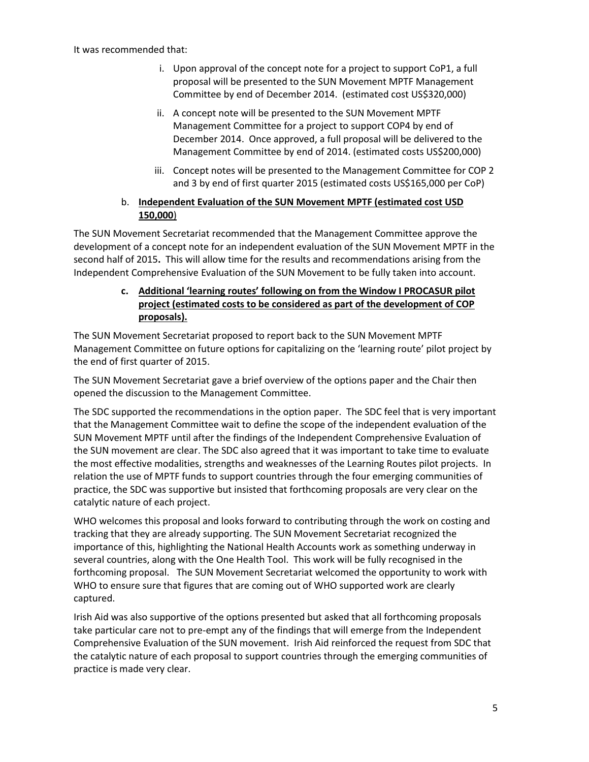It was recommended that:

- i. Upon approval of the concept note for a project to support CoP1, a full proposal will be presented to the SUN Movement MPTF Management Committee by end of December 2014. (estimated cost US\$320,000)
- ii. A concept note will be presented to the SUN Movement MPTF Management Committee for a project to support COP4 by end of December 2014. Once approved, a full proposal will be delivered to the Management Committee by end of 2014. (estimated costs US\$200,000)
- iii. Concept notes will be presented to the Management Committee for COP 2 and 3 by end of first quarter 2015 (estimated costs US\$165,000 per CoP)

# b. **Independent Evaluation of the SUN Movement MPTF (estimated cost USD 150,000**)

The SUN Movement Secretariat recommended that the Management Committee approve the development of a concept note for an independent evaluation of the SUN Movement MPTF in the second half of 2015**.** This will allow time for the results and recommendations arising from the Independent Comprehensive Evaluation of the SUN Movement to be fully taken into account.

# **c. Additional 'learning routes' following on from the Window I PROCASUR pilot project (estimated costs to be considered as part of the development of COP proposals).**

The SUN Movement Secretariat proposed to report back to the SUN Movement MPTF Management Committee on future options for capitalizing on the 'learning route' pilot project by the end of first quarter of 2015.

The SUN Movement Secretariat gave a brief overview of the options paper and the Chair then opened the discussion to the Management Committee.

The SDC supported the recommendations in the option paper. The SDC feel that is very important that the Management Committee wait to define the scope of the independent evaluation of the SUN Movement MPTF until after the findings of the Independent Comprehensive Evaluation of the SUN movement are clear. The SDC also agreed that it was important to take time to evaluate the most effective modalities, strengths and weaknesses of the Learning Routes pilot projects. In relation the use of MPTF funds to support countries through the four emerging communities of practice, the SDC was supportive but insisted that forthcoming proposals are very clear on the catalytic nature of each project.

WHO welcomes this proposal and looks forward to contributing through the work on costing and tracking that they are already supporting. The SUN Movement Secretariat recognized the importance of this, highlighting the National Health Accounts work as something underway in several countries, along with the One Health Tool. This work will be fully recognised in the forthcoming proposal. The SUN Movement Secretariat welcomed the opportunity to work with WHO to ensure sure that figures that are coming out of WHO supported work are clearly captured.

Irish Aid was also supportive of the options presented but asked that all forthcoming proposals take particular care not to pre-empt any of the findings that will emerge from the Independent Comprehensive Evaluation of the SUN movement. Irish Aid reinforced the request from SDC that the catalytic nature of each proposal to support countries through the emerging communities of practice is made very clear.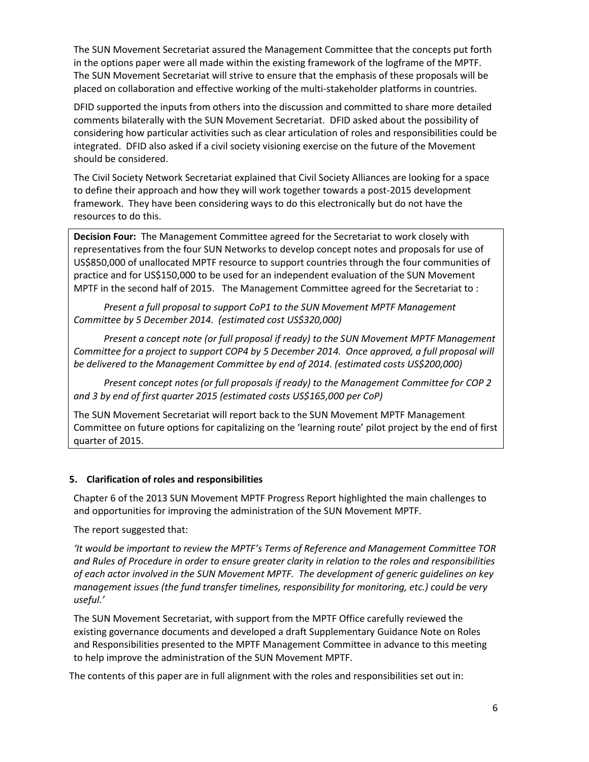The SUN Movement Secretariat assured the Management Committee that the concepts put forth in the options paper were all made within the existing framework of the logframe of the MPTF. The SUN Movement Secretariat will strive to ensure that the emphasis of these proposals will be placed on collaboration and effective working of the multi-stakeholder platforms in countries.

DFID supported the inputs from others into the discussion and committed to share more detailed comments bilaterally with the SUN Movement Secretariat. DFID asked about the possibility of considering how particular activities such as clear articulation of roles and responsibilities could be integrated. DFID also asked if a civil society visioning exercise on the future of the Movement should be considered.

The Civil Society Network Secretariat explained that Civil Society Alliances are looking for a space to define their approach and how they will work together towards a post-2015 development framework. They have been considering ways to do this electronically but do not have the resources to do this.

**Decision Four:** The Management Committee agreed for the Secretariat to work closely with representatives from the four SUN Networks to develop concept notes and proposals for use of US\$850,000 of unallocated MPTF resource to support countries through the four communities of practice and for US\$150,000 to be used for an independent evaluation of the SUN Movement MPTF in the second half of 2015. The Management Committee agreed for the Secretariat to :

*Present a full proposal to support CoP1 to the SUN Movement MPTF Management Committee by 5 December 2014. (estimated cost US\$320,000)*

*Present a concept note (or full proposal if ready) to the SUN Movement MPTF Management Committee for a project to support COP4 by 5 December 2014. Once approved, a full proposal will be delivered to the Management Committee by end of 2014. (estimated costs US\$200,000)*

*Present concept notes (or full proposals if ready) to the Management Committee for COP 2 and 3 by end of first quarter 2015 (estimated costs US\$165,000 per CoP)*

The SUN Movement Secretariat will report back to the SUN Movement MPTF Management Committee on future options for capitalizing on the 'learning route' pilot project by the end of first quarter of 2015.

#### **5. Clarification of roles and responsibilities**

Chapter 6 of the 2013 SUN Movement MPTF Progress Report highlighted the main challenges to and opportunities for improving the administration of the SUN Movement MPTF.

The report suggested that:

*'It would be important to review the MPTF's Terms of Reference and Management Committee TOR and Rules of Procedure in order to ensure greater clarity in relation to the roles and responsibilities of each actor involved in the SUN Movement MPTF. The development of generic guidelines on key management issues (the fund transfer timelines, responsibility for monitoring, etc.) could be very useful.'*

The SUN Movement Secretariat, with support from the MPTF Office carefully reviewed the existing governance documents and developed a draft Supplementary Guidance Note on Roles and Responsibilities presented to the MPTF Management Committee in advance to this meeting to help improve the administration of the SUN Movement MPTF.

The contents of this paper are in full alignment with the roles and responsibilities set out in: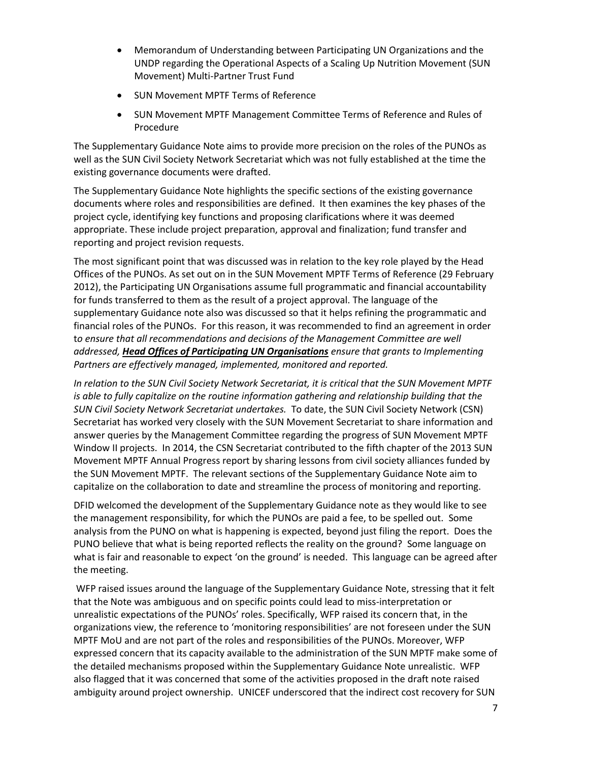- Memorandum of Understanding between Participating UN Organizations and the UNDP regarding the Operational Aspects of a Scaling Up Nutrition Movement (SUN Movement) Multi-Partner Trust Fund
- SUN Movement MPTF Terms of Reference
- SUN Movement MPTF Management Committee Terms of Reference and Rules of Procedure

The Supplementary Guidance Note aims to provide more precision on the roles of the PUNOs as well as the SUN Civil Society Network Secretariat which was not fully established at the time the existing governance documents were drafted.

The Supplementary Guidance Note highlights the specific sections of the existing governance documents where roles and responsibilities are defined. It then examines the key phases of the project cycle, identifying key functions and proposing clarifications where it was deemed appropriate. These include project preparation, approval and finalization; fund transfer and reporting and project revision requests.

The most significant point that was discussed was in relation to the key role played by the Head Offices of the PUNOs. As set out on in the SUN Movement MPTF Terms of Reference (29 February 2012), the Participating UN Organisations assume full programmatic and financial accountability for funds transferred to them as the result of a project approval. The language of the supplementary Guidance note also was discussed so that it helps refining the programmatic and financial roles of the PUNOs. For this reason, it was recommended to find an agreement in order t*o ensure that all recommendations and decisions of the Management Committee are well addressed, Head Offices of Participating UN Organisations ensure that grants to Implementing Partners are effectively managed, implemented, monitored and reported.*

*In relation to the SUN Civil Society Network Secretariat, it is critical that the SUN Movement MPTF is able to fully capitalize on the routine information gathering and relationship building that the SUN Civil Society Network Secretariat undertakes.* To date, the SUN Civil Society Network (CSN) Secretariat has worked very closely with the SUN Movement Secretariat to share information and answer queries by the Management Committee regarding the progress of SUN Movement MPTF Window II projects. In 2014, the CSN Secretariat contributed to the fifth chapter of the 2013 SUN Movement MPTF Annual Progress report by sharing lessons from civil society alliances funded by the SUN Movement MPTF. The relevant sections of the Supplementary Guidance Note aim to capitalize on the collaboration to date and streamline the process of monitoring and reporting.

DFID welcomed the development of the Supplementary Guidance note as they would like to see the management responsibility, for which the PUNOs are paid a fee, to be spelled out. Some analysis from the PUNO on what is happening is expected, beyond just filing the report. Does the PUNO believe that what is being reported reflects the reality on the ground? Some language on what is fair and reasonable to expect 'on the ground' is needed. This language can be agreed after the meeting.

WFP raised issues around the language of the Supplementary Guidance Note, stressing that it felt that the Note was ambiguous and on specific points could lead to miss-interpretation or unrealistic expectations of the PUNOs' roles. Specifically, WFP raised its concern that, in the organizations view, the reference to 'monitoring responsibilities' are not foreseen under the SUN MPTF MoU and are not part of the roles and responsibilities of the PUNOs. Moreover, WFP expressed concern that its capacity available to the administration of the SUN MPTF make some of the detailed mechanisms proposed within the Supplementary Guidance Note unrealistic. WFP also flagged that it was concerned that some of the activities proposed in the draft note raised ambiguity around project ownership. UNICEF underscored that the indirect cost recovery for SUN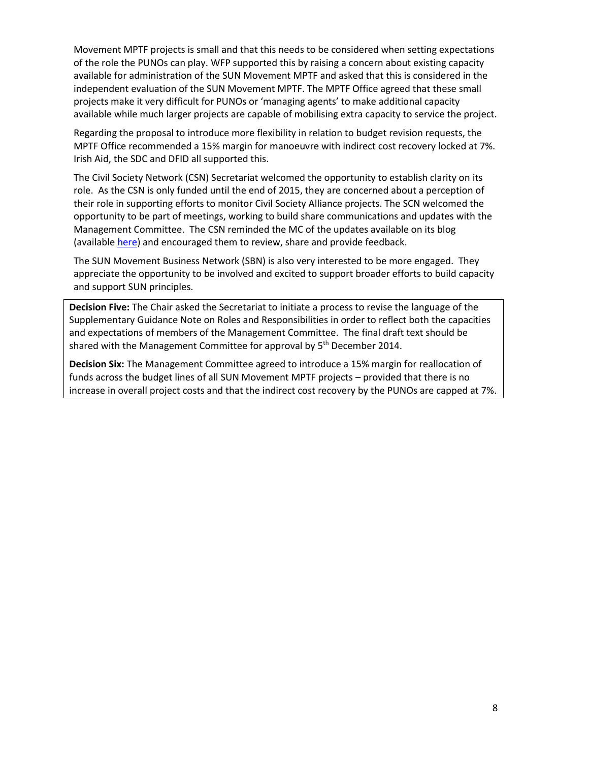Movement MPTF projects is small and that this needs to be considered when setting expectations of the role the PUNOs can play. WFP supported this by raising a concern about existing capacity available for administration of the SUN Movement MPTF and asked that this is considered in the independent evaluation of the SUN Movement MPTF. The MPTF Office agreed that these small projects make it very difficult for PUNOs or 'managing agents' to make additional capacity available while much larger projects are capable of mobilising extra capacity to service the project.

Regarding the proposal to introduce more flexibility in relation to budget revision requests, the MPTF Office recommended a 15% margin for manoeuvre with indirect cost recovery locked at 7%. Irish Aid, the SDC and DFID all supported this.

The Civil Society Network (CSN) Secretariat welcomed the opportunity to establish clarity on its role. As the CSN is only funded until the end of 2015, they are concerned about a perception of their role in supporting efforts to monitor Civil Society Alliance projects. The SCN welcomed the opportunity to be part of meetings, working to build share communications and updates with the Management Committee. The CSN reminded the MC of the updates available on its blog (available [here\)](http://suncivilsocietynet.wix.com/suncsnblog) and encouraged them to review, share and provide feedback.

The SUN Movement Business Network (SBN) is also very interested to be more engaged. They appreciate the opportunity to be involved and excited to support broader efforts to build capacity and support SUN principles.

**Decision Five:** The Chair asked the Secretariat to initiate a process to revise the language of the Supplementary Guidance Note on Roles and Responsibilities in order to reflect both the capacities and expectations of members of the Management Committee. The final draft text should be shared with the Management Committee for approval by 5<sup>th</sup> December 2014.

**Decision Six:** The Management Committee agreed to introduce a 15% margin for reallocation of funds across the budget lines of all SUN Movement MPTF projects – provided that there is no increase in overall project costs and that the indirect cost recovery by the PUNOs are capped at 7%.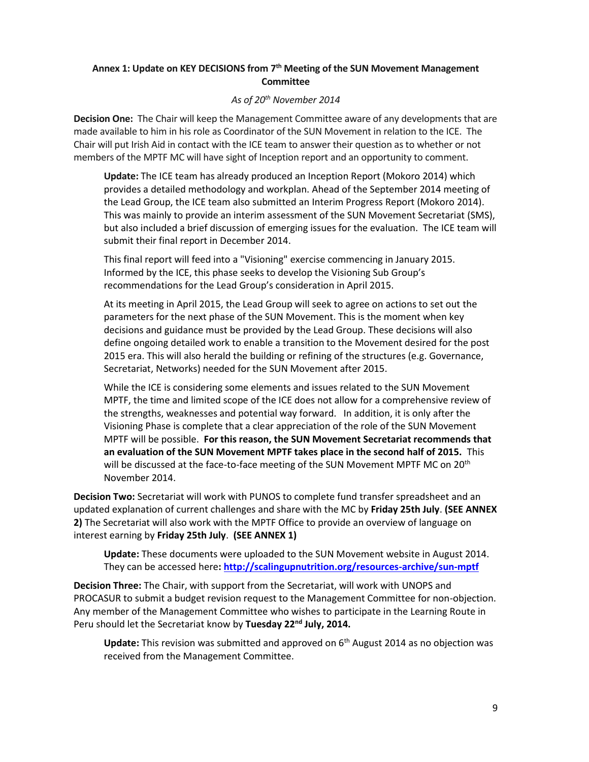# **Annex 1: Update on KEY DECISIONS from 7th Meeting of the SUN Movement Management Committee**

#### *As of 20th November 2014*

**Decision One:** The Chair will keep the Management Committee aware of any developments that are made available to him in his role as Coordinator of the SUN Movement in relation to the ICE. The Chair will put Irish Aid in contact with the ICE team to answer their question as to whether or not members of the MPTF MC will have sight of Inception report and an opportunity to comment.

**Update:** The ICE team has already produced an Inception Report (Mokoro 2014) which provides a detailed methodology and workplan. Ahead of the September 2014 meeting of the Lead Group, the ICE team also submitted an Interim Progress Report (Mokoro 2014). This was mainly to provide an interim assessment of the SUN Movement Secretariat (SMS), but also included a brief discussion of emerging issues for the evaluation. The ICE team will submit their final report in December 2014.

This final report will feed into a "Visioning" exercise commencing in January 2015. Informed by the ICE, this phase seeks to develop the Visioning Sub Group's recommendations for the Lead Group's consideration in April 2015.

At its meeting in April 2015, the Lead Group will seek to agree on actions to set out the parameters for the next phase of the SUN Movement. This is the moment when key decisions and guidance must be provided by the Lead Group. These decisions will also define ongoing detailed work to enable a transition to the Movement desired for the post 2015 era. This will also herald the building or refining of the structures (e.g. Governance, Secretariat, Networks) needed for the SUN Movement after 2015.

While the ICE is considering some elements and issues related to the SUN Movement MPTF, the time and limited scope of the ICE does not allow for a comprehensive review of the strengths, weaknesses and potential way forward. In addition, it is only after the Visioning Phase is complete that a clear appreciation of the role of the SUN Movement MPTF will be possible. **For this reason, the SUN Movement Secretariat recommends that an evaluation of the SUN Movement MPTF takes place in the second half of 2015.** This will be discussed at the face-to-face meeting of the SUN Movement MPTF MC on 20<sup>th</sup> November 2014.

**Decision Two:** Secretariat will work with PUNOS to complete fund transfer spreadsheet and an updated explanation of current challenges and share with the MC by **Friday 25th July**. **(SEE ANNEX 2)** The Secretariat will also work with the MPTF Office to provide an overview of language on interest earning by **Friday 25th July**. **(SEE ANNEX 1)**

**Update:** These documents were uploaded to the SUN Movement website in August 2014. They can be accessed here**[: http://scalingupnutrition.org/resources-archive/sun-mptf](http://scalingupnutrition.org/resources-archive/sun-mptf)**

**Decision Three:** The Chair, with support from the Secretariat, will work with UNOPS and PROCASUR to submit a budget revision request to the Management Committee for non-objection. Any member of the Management Committee who wishes to participate in the Learning Route in Peru should let the Secretariat know by **Tuesday 22nd July, 2014.**

**Update:** This revision was submitted and approved on 6th August 2014 as no objection was received from the Management Committee.